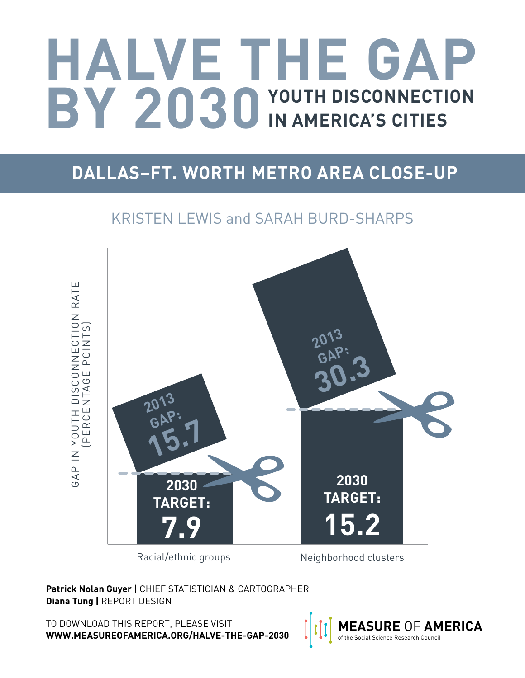# **HALVE THE GAP BY 2030** YOUTH DISCONNECTION IN AMERICA'S CITIES **IN AMERICA'S CITIES**

# **DALLAS–FT. WORTH METRO AREA CLOSE-UP**

## KRISTEN LEWIS and SARAH BURD-SHARPS

GAP IN YOUTH DISCONNECTION RATE GAP IN YOUTH DISCONNECTION RATE<br>TEERCENTAGE POINTS) (PERCENTAGE POINTS) **2013 GAP: 30.3 2013 GAP: 15.7 2030 2030 TARGET: TARGET: 7.9 15.2**

Racial/ethnic groups Meighborhood clusters

**Patrick Nolan Guyer |** CHIEF STATISTICIAN & CARTOGRAPHER **Diana Tung |** REPORT DESIGN

TO DOWNLOAD THIS REPORT, PLEASE VISIT **WWW.MEASUREOFAMERICA.ORG/HALVE-THE-GAP-2030**

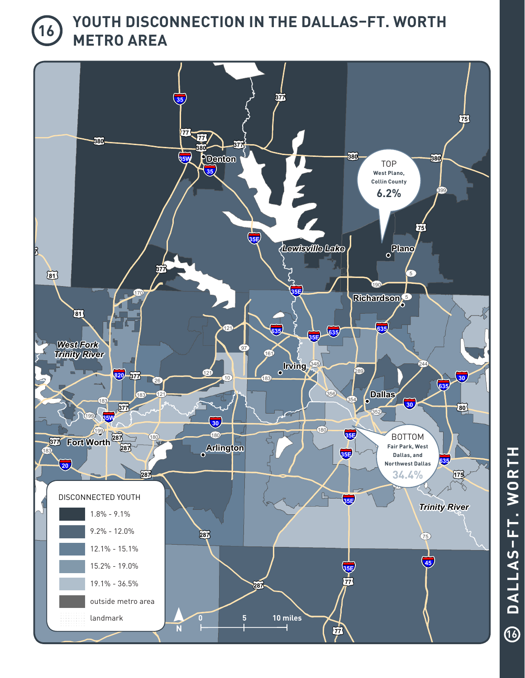## **YOUTH DISCONNECTION IN THE DALLAS–FT. WORTH METRO AREA**



WORTH **DALLAS–FT. WORTH** DALLAS-FT.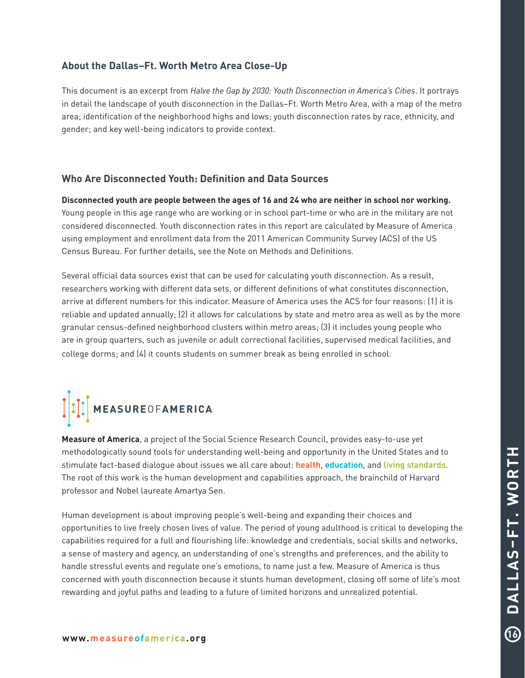### **About the Dallas–Ft. Worth Metro Area Close-Up**

This document is an excerpt from *[Halve the Gap by 2030: Youth Disconnection in America's Cities](http://www.measureofamerica.org/wp-content/uploads/2013/10/MOA-Halve-the-Gap-ALL-10.25.13.pdf)*. It portrays in detail the landscape of youth disconnection in the Dallas–Ft. Worth Metro Area, with a map of the metro area; identification of the neighborhood highs and lows; youth disconnection rates by race, ethnicity, and gender; and key well-being indicators to provide context.

### **Who Are Disconnected Youth: Definition and Data Sources**

**Disconnected youth are people between the ages of 16 and 24 who are neither in school nor working.**  Young people in this age range who are working or in school part-time or who are in the military are not considered disconnected. Youth disconnection rates in this report are calculated by Measure of America using employment and enrollment data from the 2011 American Community Survey (ACS) of the US Census Bureau. For further details, see the [Note on Methods and Definitions.](http://www.measureofamerica.org/wp-content/uploads/2013/10/HALVE-THE_GAP_Methodological_Note.pdf  )

Several official data sources exist that can be used for calculating youth disconnection. As a result, researchers working with different data sets, or different definitions of what constitutes disconnection, arrive at different numbers for this indicator. Measure of America uses the ACS for four reasons: (1) it is reliable and updated annually; (2) it allows for calculations by state and metro area as well as by the more granular census-defined neighborhood clusters within metro areas; (3) it includes young people who are in group quarters, such as juvenile or adult correctional facilities, supervised medical facilities, and college dorms; and (4) it counts students on summer break as being enrolled in school.

# **MEASURE**OF**AMERICA**

**Measure of America**, a project of the Social Science Research Council, provides easy-to-use yet methodologically sound tools for understanding well-being and opportunity in the United States and to stimulate fact-based dialogue about issues we all care about: **health**, **education**, and **living standards**. The root of this work is the human development and capabilities approach, the brainchild of Harvard professor and Nobel laureate Amartya Sen.

Human development is about improving people's well-being and expanding their choices and opportunities to live freely chosen lives of value. The period of young adulthood is critical to developing the capabilities required for a full and flourishing life: knowledge and credentials, social skills and networks, a sense of mastery and agency, an understanding of one's strengths and preferences, and the ability to handle stressful events and regulate one's emotions, to name just a few. Measure of America is thus concerned with youth disconnection because it stunts human development, closing off some of life's most rewarding and joyful paths and leading to a future of limited horizons and unrealized potential.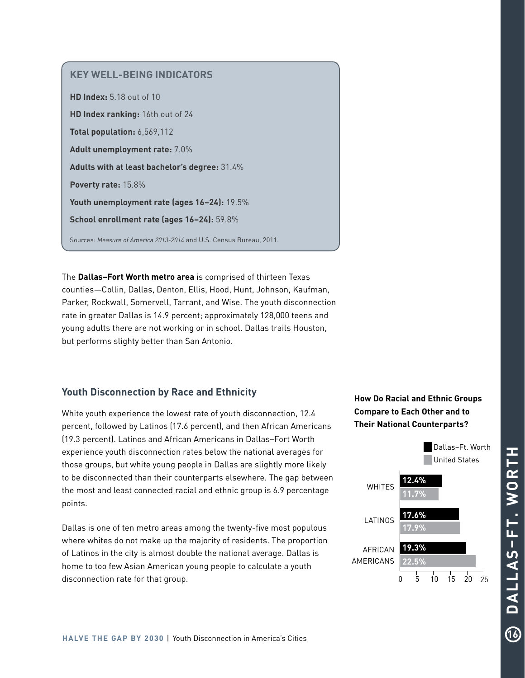### **KEY WELL-BEING INDICATORS**

**HD Index:** 5.18 out of 10 **HD Index ranking:** 16th out of 24 **Total population:** 6,569,112 **Adult unemployment rate:** 7.0% **Adults with at least bachelor's degree:** 31.4% **Poverty rate:** 15.8% **Youth unemployment rate (ages 16–24):** 19.5% **School enrollment rate (ages 16–24):** 59.8% Sources: *Measure of America 2013-2014* and U.S. Census Bureau, 2011.

The **Dallas–Fort Worth metro area** is comprised of thirteen Texas counties—Collin, Dallas, Denton, Ellis, Hood, Hunt, Johnson, Kaufman, Parker, Rockwall, Somervell, Tarrant, and Wise. The youth disconnection rate in greater Dallas is 14.9 percent; approximately 128,000 teens and young adults there are not working or in school. Dallas trails Houston, but performs slighty better than San Antonio.

### **Youth Disconnection by Race and Ethnicity**

White youth experience the lowest rate of youth disconnection, 12.4 percent, followed by Latinos (17.6 percent), and then African Americans (19.3 percent). Latinos and African Americans in Dallas–Fort Worth experience youth disconnection rates below the national averages for those groups, but white young people in Dallas are slightly more likely to be disconnected than their counterparts elsewhere. The gap between the most and least connected racial and ethnic group is 6.9 percentage points.

Dallas is one of ten metro areas among the twenty-five most populous where whites do not make up the majority of residents. The proportion of Latinos in the city is almost double the national average. Dallas is home to too few Asian American young people to calculate a youth disconnection rate for that group.

## **How Do Racial and Ethnic Groups Compare to Each Other and to Their National Counterparts?**